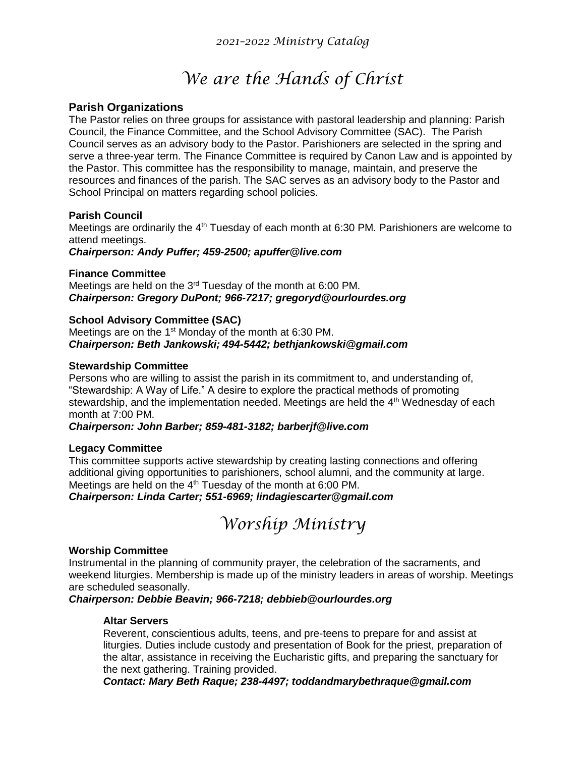# *We are the Hands of Christ*

# **Parish Organizations**

The Pastor relies on three groups for assistance with pastoral leadership and planning: Parish Council, the Finance Committee, and the School Advisory Committee (SAC). The Parish Council serves as an advisory body to the Pastor. Parishioners are selected in the spring and serve a three-year term. The Finance Committee is required by Canon Law and is appointed by the Pastor. This committee has the responsibility to manage, maintain, and preserve the resources and finances of the parish. The SAC serves as an advisory body to the Pastor and School Principal on matters regarding school policies.

# **Parish Council**

Meetings are ordinarily the 4<sup>th</sup> Tuesday of each month at 6:30 PM. Parishioners are welcome to attend meetings.

*Chairperson: Andy Puffer; 459-2500; [apuffer@live.com](mailto:apuffer@live.com)*

# **Finance Committee**

Meetings are held on the 3rd Tuesday of the month at 6:00 PM. *Chairperson: Gregory DuPont; 966-7217; [gregoryd@ourlourdes.org](mailto:gregoryd@ourlourdes.org)*

# **School Advisory Committee (SAC)**

Meetings are on the  $1<sup>st</sup>$  Monday of the month at 6:30 PM. *Chairperson: Beth Jankowski; 494-5442; bethjankowski@gmail.com*

# **Stewardship Committee**

Persons who are willing to assist the parish in its commitment to, and understanding of, "Stewardship: A Way of Life." A desire to explore the practical methods of promoting stewardship, and the implementation needed. Meetings are held the  $4<sup>th</sup>$  Wednesday of each month at 7:00 PM.

# *Chairperson: John Barber; 859-481-3182; [barberjf@live.com](mailto:barberjf@live.com)*

# **Legacy Committee**

This committee supports active stewardship by creating lasting connections and offering additional giving opportunities to parishioners, school alumni, and the community at large. Meetings are held on the 4<sup>th</sup> Tuesday of the month at 6:00 PM.

# *Chairperson: Linda Carter; 551-6969; lindagiescarter@gmail.com*

*Worship Ministry*

## **Worship Committee**

Instrumental in the planning of community prayer, the celebration of the sacraments, and weekend liturgies. Membership is made up of the ministry leaders in areas of worship. Meetings are scheduled seasonally.

*Chairperson: Debbie Beavin; 966-7218; [debbieb@ourlourdes.org](mailto:debbieb@ourlourdes.org)*

# **Altar Servers**

Reverent, conscientious adults, teens, and pre-teens to prepare for and assist at liturgies. Duties include custody and presentation of Book for the priest, preparation of the altar, assistance in receiving the Eucharistic gifts, and preparing the sanctuary for the next gathering. Training provided.

*Contact: Mary Beth Raque; 238-4497; toddandmarybethraque@gmail.com*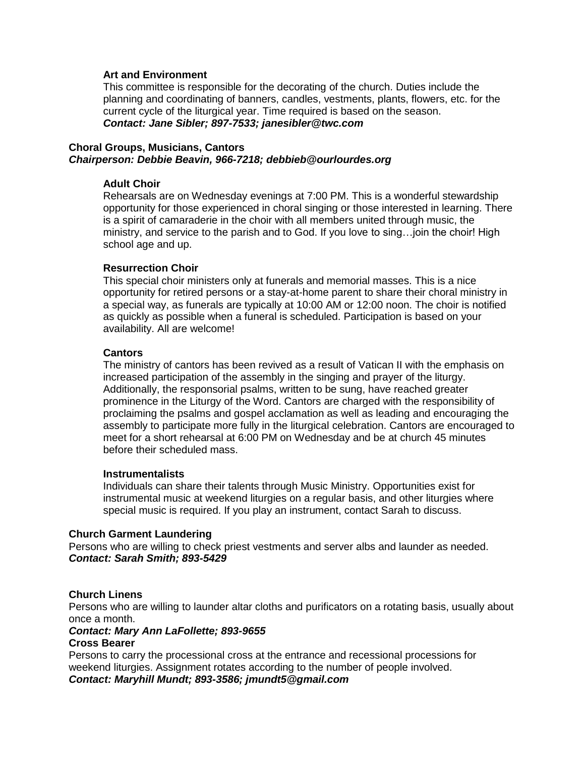## **Art and Environment**

This committee is responsible for the decorating of the church. Duties include the planning and coordinating of banners, candles, vestments, plants, flowers, etc. for the current cycle of the liturgical year. Time required is based on the season. *Contact: Jane Sibler; 897-7533; [janesibler@twc.com](mailto:janesibler@twc.com)*

# **Choral Groups, Musicians, Cantors** *Chairperson: Debbie Beavin, 966-7218; [debbieb@ourlourdes.org](mailto:debbieb@ourlourdes.org)*

#### **Adult Choir**

Rehearsals are on Wednesday evenings at 7:00 PM. This is a wonderful stewardship opportunity for those experienced in choral singing or those interested in learning. There is a spirit of camaraderie in the choir with all members united through music, the ministry, and service to the parish and to God. If you love to sing…join the choir! High school age and up.

#### **Resurrection Choir**

This special choir ministers only at funerals and memorial masses. This is a nice opportunity for retired persons or a stay-at-home parent to share their choral ministry in a special way, as funerals are typically at 10:00 AM or 12:00 noon. The choir is notified as quickly as possible when a funeral is scheduled. Participation is based on your availability. All are welcome!

#### **Cantors**

The ministry of cantors has been revived as a result of Vatican II with the emphasis on increased participation of the assembly in the singing and prayer of the liturgy. Additionally, the responsorial psalms, written to be sung, have reached greater prominence in the Liturgy of the Word. Cantors are charged with the responsibility of proclaiming the psalms and gospel acclamation as well as leading and encouraging the assembly to participate more fully in the liturgical celebration. Cantors are encouraged to meet for a short rehearsal at 6:00 PM on Wednesday and be at church 45 minutes before their scheduled mass.

#### **Instrumentalists**

Individuals can share their talents through Music Ministry. Opportunities exist for instrumental music at weekend liturgies on a regular basis, and other liturgies where special music is required. If you play an instrument, contact Sarah to discuss.

#### **Church Garment Laundering**

Persons who are willing to check priest vestments and server albs and launder as needed. *Contact: Sarah Smith; 893-5429*

## **Church Linens**

Persons who are willing to launder altar cloths and purificators on a rotating basis, usually about once a month.

# *Contact: Mary Ann LaFollette; 893-9655*

# **Cross Bearer**

Persons to carry the processional cross at the entrance and recessional processions for weekend liturgies. Assignment rotates according to the number of people involved. *Contact: Maryhill Mundt; 893-3586; [jmundt5@gmail.com](mailto:jmundt5@gmail.com)*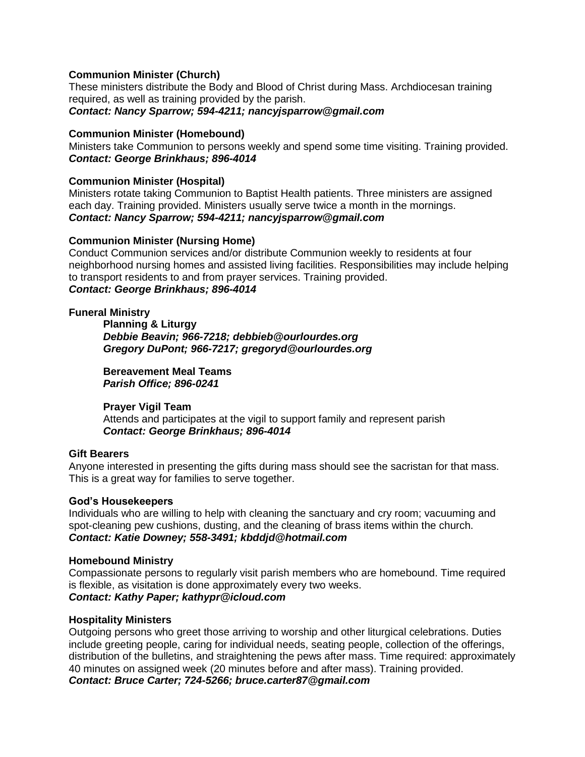# **Communion Minister (Church)**

These ministers distribute the Body and Blood of Christ during Mass. Archdiocesan training required, as well as training provided by the parish. *Contact: Nancy Sparrow; 594-4211; [nancyjsparrow@gmail.com](mailto:nancyjsparrow@gmail.com)*

## **Communion Minister (Homebound)**

Ministers take Communion to persons weekly and spend some time visiting. Training provided. *Contact: George Brinkhaus; 896-4014*

# **Communion Minister (Hospital)**

Ministers rotate taking Communion to Baptist Health patients. Three ministers are assigned each day. Training provided. Ministers usually serve twice a month in the mornings. *Contact: Nancy Sparrow; 594-4211; [nancyjsparrow@gmail.com](mailto:nancyjsparrow@gmail.com)*

## **Communion Minister (Nursing Home)**

Conduct Communion services and/or distribute Communion weekly to residents at four neighborhood nursing homes and assisted living facilities. Responsibilities may include helping to transport residents to and from prayer services. Training provided. *Contact: George Brinkhaus; 896-4014*

## **Funeral Ministry**

**Planning & Liturgy** *Debbie Beavin; 966-7218; debbieb@ourlourdes.org Gregory DuPont; 966-7217; [gregoryd@ourlourdes.org](mailto:gregoryd@ourlourdes.org)*

**Bereavement Meal Teams** *Parish Office; 896-0241*

# **Prayer Vigil Team**

Attends and participates at the vigil to support family and represent parish *Contact: George Brinkhaus; 896-4014*

## **Gift Bearers**

Anyone interested in presenting the gifts during mass should see the sacristan for that mass. This is a great way for families to serve together.

## **God's Housekeepers**

Individuals who are willing to help with cleaning the sanctuary and cry room; vacuuming and spot-cleaning pew cushions, dusting, and the cleaning of brass items within the church. *Contact: Katie Downey; 558-3491; [kbddjd@hotmail.com](mailto:kbddjd@hotmail.com)*

## **Homebound Ministry**

Compassionate persons to regularly visit parish members who are homebound. Time required is flexible, as visitation is done approximately every two weeks. *Contact: Kathy Paper; [kathypr@icloud.com](mailto:kathypr@icloud.com)*

## **Hospitality Ministers**

Outgoing persons who greet those arriving to worship and other liturgical celebrations. Duties include greeting people, caring for individual needs, seating people, collection of the offerings, distribution of the bulletins, and straightening the pews after mass. Time required: approximately 40 minutes on assigned week (20 minutes before and after mass). Training provided. *Contact: Bruce Carter; 724-5266; [bruce.carter87@gmail.com](mailto:bruce.carter87@gmail.com)*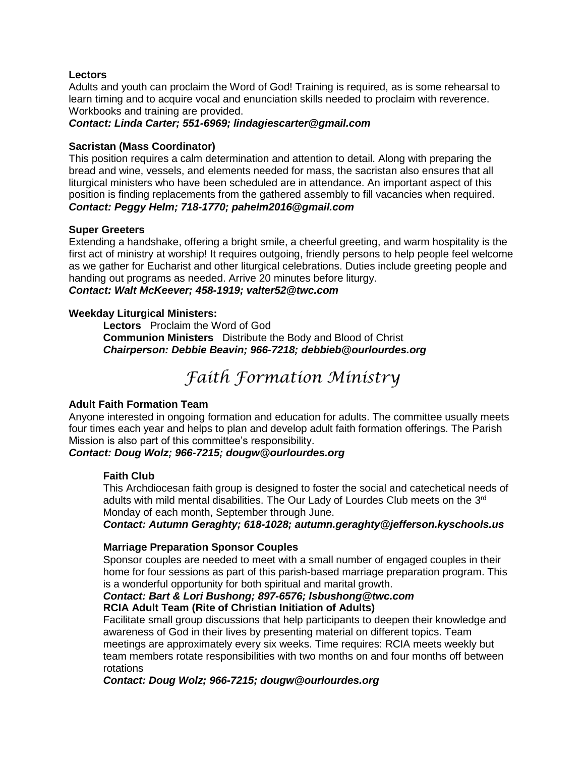# **Lectors**

Adults and youth can proclaim the Word of God! Training is required, as is some rehearsal to learn timing and to acquire vocal and enunciation skills needed to proclaim with reverence. Workbooks and training are provided.

*Contact: Linda Carter; 551-6969; [lindagiescarter@gmail.com](mailto:lindagiescarter@gmail.com)*

# **Sacristan (Mass Coordinator)**

This position requires a calm determination and attention to detail. Along with preparing the bread and wine, vessels, and elements needed for mass, the sacristan also ensures that all liturgical ministers who have been scheduled are in attendance. An important aspect of this position is finding replacements from the gathered assembly to fill vacancies when required. *Contact: Peggy Helm; 718-1770; [pahelm2016@gmail.com](mailto:pahelm2016@gmail.com)*

# **Super Greeters**

Extending a handshake, offering a bright smile, a cheerful greeting, and warm hospitality is the first act of ministry at worship! It requires outgoing, friendly persons to help people feel welcome as we gather for Eucharist and other liturgical celebrations. Duties include greeting people and handing out programs as needed. Arrive 20 minutes before liturgy. *Contact: Walt McKeever; 458-1919; valter52@twc.com*

# **Weekday Liturgical Ministers:**

**Lectors** Proclaim the Word of God **Communion Ministers** Distribute the Body and Blood of Christ *Chairperson: Debbie Beavin; 966-7218; debbieb@ourlourdes.org*

# *Faith Formation Ministry*

# **Adult Faith Formation Team**

Anyone interested in ongoing formation and education for adults. The committee usually meets four times each year and helps to plan and develop adult faith formation offerings. The Parish Mission is also part of this committee's responsibility.

## *Contact: Doug Wolz; 966-7215; [dougw@ourlourdes.org](mailto:dougw@ourlourdes.org)*

## **Faith Club**

This Archdiocesan faith group is designed to foster the social and catechetical needs of adults with mild mental disabilities. The Our Lady of Lourdes Club meets on the 3<sup>rd</sup> Monday of each month, September through June.

## *Contact: Autumn Geraghty; 618-1028; [autumn.geraghty@jefferson.kyschools.us](mailto:autumn.geraghty@jefferson.kyschools.us)*

# **Marriage Preparation Sponsor Couples**

Sponsor couples are needed to meet with a small number of engaged couples in their home for four sessions as part of this parish-based marriage preparation program. This is a wonderful opportunity for both spiritual and marital growth.

#### *Contact: Bart & Lori Bushong; 897-6576; lsbushong@twc.com* **RCIA Adult Team (Rite of Christian Initiation of Adults)**

Facilitate small group discussions that help participants to deepen their knowledge and awareness of God in their lives by presenting material on different topics. Team meetings are approximately every six weeks. Time requires: RCIA meets weekly but team members rotate responsibilities with two months on and four months off between rotations

*Contact: Doug Wolz; 966-7215; dougw@ourlourdes.org*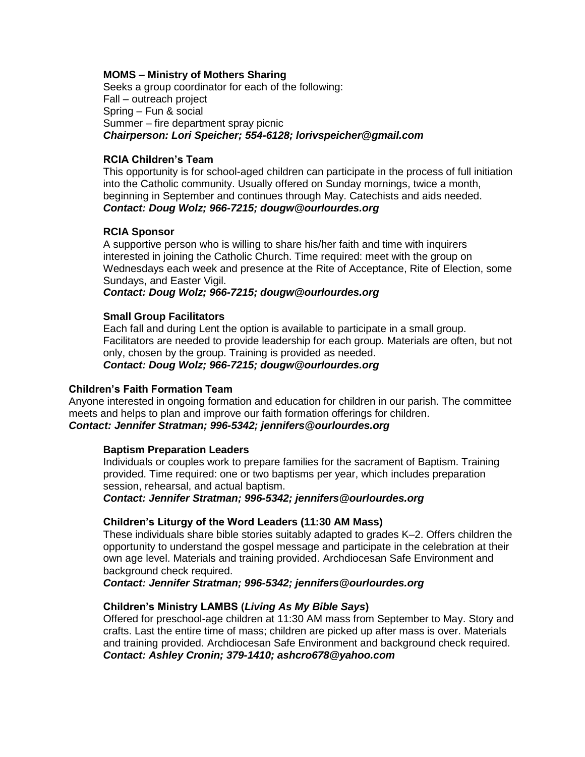# **MOMS – Ministry of Mothers Sharing**

Seeks a group coordinator for each of the following: Fall – outreach project Spring – Fun & social Summer – fire department spray picnic *Chairperson: Lori Speicher; 554-6128; lorivspeicher@gmail.com*

### **RCIA Children's Team**

This opportunity is for school-aged children can participate in the process of full initiation into the Catholic community. Usually offered on Sunday mornings, twice a month, beginning in September and continues through May. Catechists and aids needed. *Contact: Doug Wolz; 966-7215; [dougw@ourlourdes.org](mailto:dougw@ourlourdes.org)*

## **RCIA Sponsor**

A supportive person who is willing to share his/her faith and time with inquirers interested in joining the Catholic Church. Time required: meet with the group on Wednesdays each week and presence at the Rite of Acceptance, Rite of Election, some Sundays, and Easter Vigil.

## *Contact: Doug Wolz; 966-7215; [dougw@ourlourdes.org](mailto:dougw@ourlourdes.org)*

## **Small Group Facilitators**

Each fall and during Lent the option is available to participate in a small group. Facilitators are needed to provide leadership for each group. Materials are often, but not only, chosen by the group. Training is provided as needed. *Contact: Doug Wolz; 966-7215; [dougw@ourlourdes.org](mailto:dougw@ourlourdes.org)*

## **Children's Faith Formation Team**

Anyone interested in ongoing formation and education for children in our parish. The committee meets and helps to plan and improve our faith formation offerings for children. *Contact: Jennifer Stratman; 996-5342; [jennifers@ourlourdes.org](mailto:jennifers@ourlourdes.org)*

## **Baptism Preparation Leaders**

Individuals or couples work to prepare families for the sacrament of Baptism. Training provided. Time required: one or two baptisms per year, which includes preparation session, rehearsal, and actual baptism.

*Contact: Jennifer Stratman; 996-5342; [jennifers@ourlourdes.org](mailto:jennifers@ourlourdes.org)*

## **Children's Liturgy of the Word Leaders (11:30 AM Mass)**

These individuals share bible stories suitably adapted to grades K–2. Offers children the opportunity to understand the gospel message and participate in the celebration at their own age level. Materials and training provided. Archdiocesan Safe Environment and background check required.

*Contact: Jennifer Stratman; 996-5342; [jennifers@ourlourdes.org](mailto:jennifers@ourlourdes.org)*

## **Children's Ministry LAMBS (***Living As My Bible Says***)**

Offered for preschool-age children at 11:30 AM mass from September to May. Story and crafts. Last the entire time of mass; children are picked up after mass is over. Materials and training provided. Archdiocesan Safe Environment and background check required. *Contact: Ashley Cronin; 379-1410; ashcro678@yahoo.com*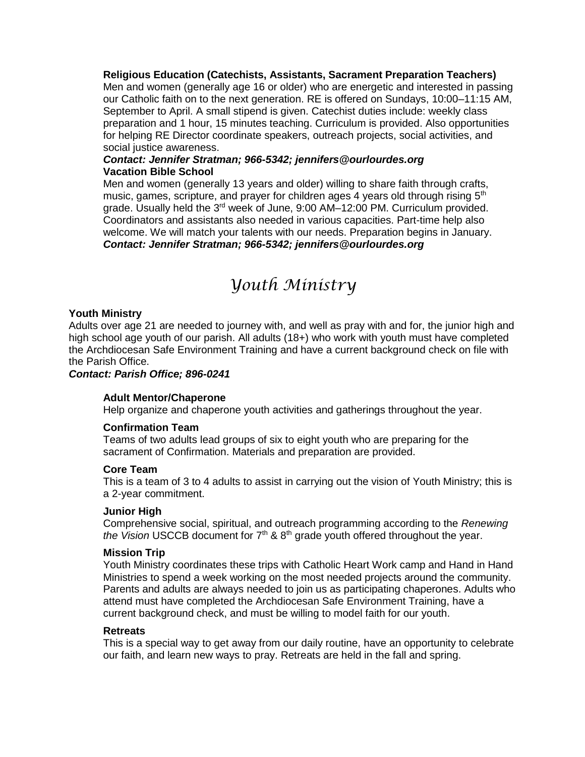**Religious Education (Catechists, Assistants, Sacrament Preparation Teachers)** Men and women (generally age 16 or older) who are energetic and interested in passing our Catholic faith on to the next generation. RE is offered on Sundays, 10:00–11:15 AM, September to April. A small stipend is given. Catechist duties include: weekly class preparation and 1 hour, 15 minutes teaching. Curriculum is provided. Also opportunities for helping RE Director coordinate speakers, outreach projects, social activities, and social justice awareness.

# *Contact: Jennifer Stratman; 966-5342; [jennifers@ourlourdes.org](mailto:jennifers@ourlourdes.org)* **Vacation Bible School**

Men and women (generally 13 years and older) willing to share faith through crafts, music, games, scripture, and prayer for children ages 4 years old through rising  $5<sup>th</sup>$ grade. Usually held the  $3<sup>rd</sup>$  week of June, 9:00 AM-12:00 PM. Curriculum provided. Coordinators and assistants also needed in various capacities. Part-time help also welcome. We will match your talents with our needs. Preparation begins in January. *Contact: Jennifer Stratman; 966-5342; [jennifers@ourlourdes.org](mailto:jennifers@ourlourdes.org)*

# *Youth Ministry*

# **Youth Ministry**

Adults over age 21 are needed to journey with, and well as pray with and for, the junior high and high school age youth of our parish. All adults (18+) who work with youth must have completed the Archdiocesan Safe Environment Training and have a current background check on file with the Parish Office.

# *Contact: Parish Office; 896-0241*

# **Adult Mentor/Chaperone**

Help organize and chaperone youth activities and gatherings throughout the year.

# **Confirmation Team**

Teams of two adults lead groups of six to eight youth who are preparing for the sacrament of Confirmation. Materials and preparation are provided.

## **Core Team**

This is a team of 3 to 4 adults to assist in carrying out the vision of Youth Ministry; this is a 2-year commitment.

## **Junior High**

Comprehensive social, spiritual, and outreach programming according to the *Renewing the Vision* USCCB document for  $7<sup>th</sup>$  &  $8<sup>th</sup>$  grade youth offered throughout the year.

## **Mission Trip**

Youth Ministry coordinates these trips with Catholic Heart Work camp and Hand in Hand Ministries to spend a week working on the most needed projects around the community. Parents and adults are always needed to join us as participating chaperones. Adults who attend must have completed the Archdiocesan Safe Environment Training, have a current background check, and must be willing to model faith for our youth.

# **Retreats**

This is a special way to get away from our daily routine, have an opportunity to celebrate our faith, and learn new ways to pray. Retreats are held in the fall and spring.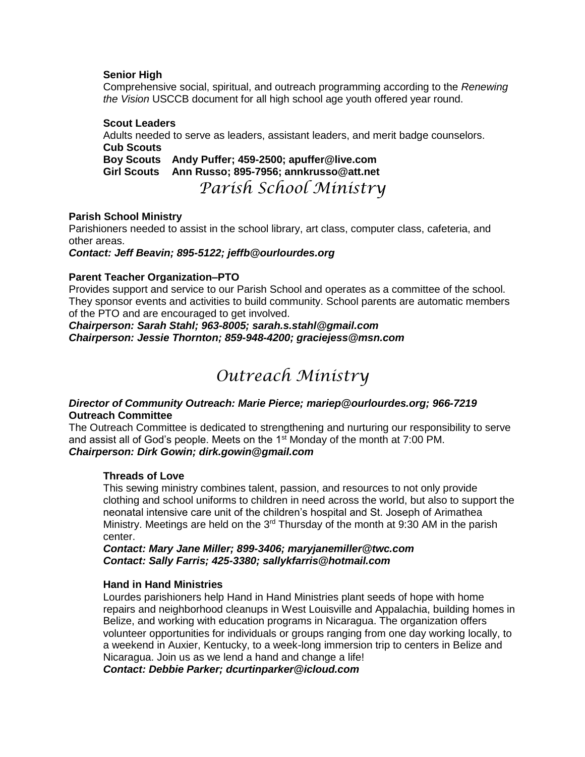# **Senior High**

Comprehensive social, spiritual, and outreach programming according to the *Renewing the Vision* USCCB document for all high school age youth offered year round.

# **Scout Leaders**

Adults needed to serve as leaders, assistant leaders, and merit badge counselors. **Cub Scouts**

**Boy Scouts Andy Puffer; 459-2500; [apuffer@live.com](mailto:apuffer@live.com) Girl Scouts Ann Russo; 895-7956; [annkrusso@att.net](mailto:annkrusso@att.net)**

*Parish School Ministry*

# **Parish School Ministry**

Parishioners needed to assist in the school library, art class, computer class, cafeteria, and other areas.

*Contact: Jeff Beavin; 895-5122; [jeffb@ourlourdes.org](mailto:jeffb@ourlourdes.org)*

# **Parent Teacher Organization–PTO**

Provides support and service to our Parish School and operates as a committee of the school. They sponsor events and activities to build community. School parents are automatic members of the PTO and are encouraged to get involved.

*Chairperson: Sarah Stahl; 963-8005; [sarah.s.stahl@gmail.com](mailto:sarah.s.stahl@gmail.com) Chairperson: Jessie Thornton; 859-948-4200; [graciejess@msn.com](mailto:graciejess@msn.com)*

# *Outreach Ministry*

# *Director of Community Outreach: Marie Pierce; [mariep@ourlourdes.org;](mailto:mariep@ourlourdes.org) 966-7219* **Outreach Committee**

The Outreach Committee is dedicated to strengthening and nurturing our responsibility to serve and assist all of God's people. Meets on the  $1<sup>st</sup>$  Monday of the month at 7:00 PM. *Chairperson: Dirk Gowin; [dirk.gowin@gmail.com](mailto:dirk.gowin@gmail.com)*

# **Threads of Love**

This sewing ministry combines talent, passion, and resources to not only provide clothing and school uniforms to children in need across the world, but also to support the neonatal intensive care unit of the children's hospital and St. Joseph of Arimathea Ministry. Meetings are held on the 3<sup>rd</sup> Thursday of the month at 9:30 AM in the parish center.

*Contact: Mary Jane Miller; 899-3406; [maryjanemiller@twc.com](mailto:maryjanemiller@twc.com) Contact: Sally Farris; 425-3380; [sallykfarris@hotmail.com](mailto:sallykfarris@hotmail.com)*

## **Hand in Hand Ministries**

Lourdes parishioners help Hand in Hand Ministries plant seeds of hope with home repairs and neighborhood cleanups in West Louisville and Appalachia, building homes in Belize, and working with education programs in Nicaragua. The organization offers volunteer opportunities for individuals or groups ranging from one day working locally, to a weekend in Auxier, Kentucky, to a week-long immersion trip to centers in Belize and Nicaragua. Join us as we lend a hand and change a life!

*Contact: Debbie Parker; [dcurtinparker@icloud.com](mailto:dcurtinparker@icloud.com)*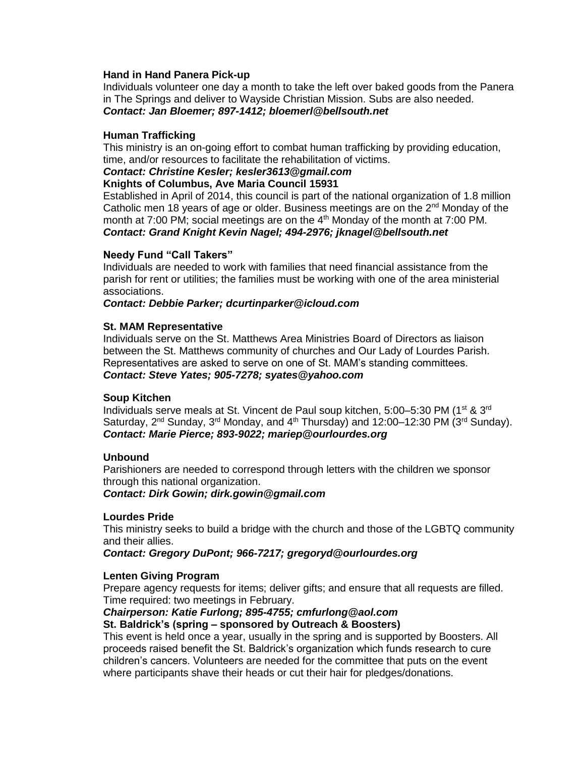# **Hand in Hand Panera Pick-up**

Individuals volunteer one day a month to take the left over baked goods from the Panera in The Springs and deliver to Wayside Christian Mission. Subs are also needed. *Contact: Jan Bloemer; 897-1412; [bloemerl@bellsouth.net](mailto:bloemerl@bellsouth.net)*

# **Human Trafficking**

This ministry is an on-going effort to combat human trafficking by providing education, time, and/or resources to facilitate the rehabilitation of victims.

# *Contact: Christine Kesler; [kesler3613@gmail.com](mailto:kesler3613@gmail.com)*

# **Knights of Columbus, Ave Maria Council 15931**

Established in April of 2014, this council is part of the national organization of 1.8 million Catholic men 18 years of age or older. Business meetings are on the  $2<sup>nd</sup>$  Monday of the month at 7:00 PM; social meetings are on the  $4<sup>th</sup>$  Monday of the month at 7:00 PM. *Contact: Grand Knight Kevin Nagel; 494-2976; [jknagel@bellsouth.net](mailto:jknagel@bellsouth.net)*

# **Needy Fund "Call Takers"**

Individuals are needed to work with families that need financial assistance from the parish for rent or utilities; the families must be working with one of the area ministerial associations.

## *Contact: Debbie Parker; [dcurtinparker@icloud.com](mailto:dcurtinparker@icloud.com)*

## **St. MAM Representative**

Individuals serve on the St. Matthews Area Ministries Board of Directors as liaison between the St. Matthews community of churches and Our Lady of Lourdes Parish. Representatives are asked to serve on one of St. MAM's standing committees. *Contact: Steve Yates; 905-7278; [syates@yahoo.com](mailto:syates@yahoo.com)*

## **Soup Kitchen**

Individuals serve meals at St. Vincent de Paul soup kitchen, 5:00-5:30 PM (1<sup>st</sup> & 3<sup>rd</sup>) Saturday,  $2^{nd}$  Sunday,  $3^{rd}$  Monday, and  $4^{th}$  Thursday) and 12:00–12:30 PM ( $3^{rd}$  Sunday). *Contact: Marie Pierce; 893-9022; [mariep@ourlourdes.org](mailto:mariep@ourlourdes.org)*

# **Unbound**

Parishioners are needed to correspond through letters with the children we sponsor through this national organization.

*Contact: Dirk Gowin; [dirk.gowin@gmail.com](mailto:dirk.gowin@gmail.com)*

## **Lourdes Pride**

This ministry seeks to build a bridge with the church and those of the LGBTQ community and their allies.

*Contact: Gregory DuPont; 966-7217; [gregoryd@ourlourdes.org](mailto:gregoryd@ourlourdes.org)*

## **Lenten Giving Program**

Prepare agency requests for items; deliver gifts; and ensure that all requests are filled. Time required: two meetings in February.

# *Chairperson: Katie Furlong; 895-4755; [cmfurlong@aol.com](mailto:cmfurlong@aol.com)*

## **St. Baldrick's (spring – sponsored by Outreach & Boosters)**

This event is held once a year, usually in the spring and is supported by Boosters. All proceeds raised benefit the St. Baldrick's organization which funds research to cure children's cancers. Volunteers are needed for the committee that puts on the event where participants shave their heads or cut their hair for pledges/donations.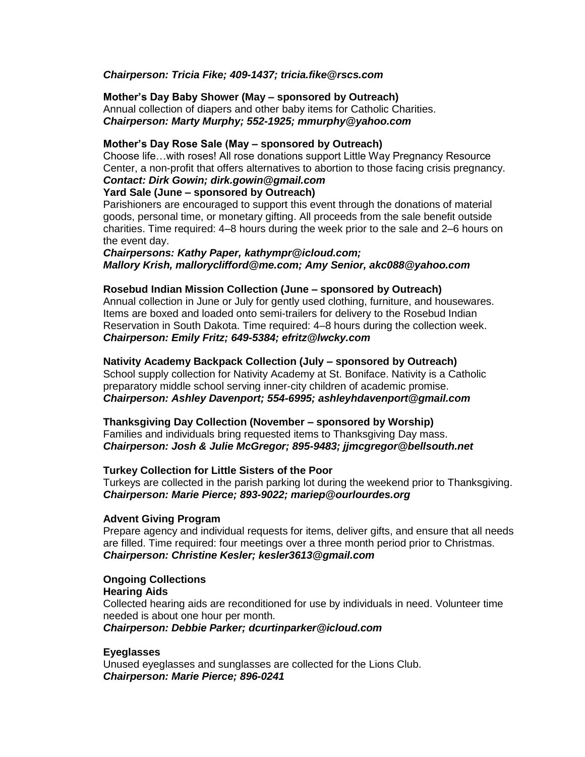# *Chairperson: Tricia Fike; 409-1437; [tricia.fike@rscs.com](mailto:tricia.fike@rscs.com)*

#### **Mother's Day Baby Shower (May – sponsored by Outreach)** Annual collection of diapers and other baby items for Catholic Charities. *Chairperson: Marty Murphy; 552-1925; [mmurphy@yahoo.com](mailto:mmurphy@yahoo.com)*

# **Mother's Day Rose Sale (May – sponsored by Outreach)**

Choose life…with roses! All rose donations support Little Way Pregnancy Resource Center, a non-profit that offers alternatives to abortion to those facing crisis pregnancy.

#### *Contact: Dirk Gowin; dirk.gowin@gmail.com* **Yard Sale (June – sponsored by Outreach)**

Parishioners are encouraged to support this event through the donations of material goods, personal time, or monetary gifting. All proceeds from the sale benefit outside charities. Time required: 4–8 hours during the week prior to the sale and 2–6 hours on the event day.

# *Chairpersons: Kathy Paper, [kathympr@icloud.com;](mailto:kathympr@icloud.com) Mallory Krish, [malloryclifford@me.com;](mailto:malloryclifford@me.com) Amy Senior, [akc088@yahoo.com](mailto:akc088@yahoo.com)*

# **Rosebud Indian Mission Collection (June – sponsored by Outreach)**

Annual collection in June or July for gently used clothing, furniture, and housewares. Items are boxed and loaded onto semi-trailers for delivery to the Rosebud Indian Reservation in South Dakota. Time required: 4–8 hours during the collection week. *Chairperson: Emily Fritz; 649-5384; [efritz@lwcky.com](mailto:efritz@lwcky.com)*

# **Nativity Academy Backpack Collection (July – sponsored by Outreach)**

School supply collection for Nativity Academy at St. Boniface. Nativity is a Catholic preparatory middle school serving inner-city children of academic promise. *Chairperson: Ashley Davenport; 554-6995; [ashleyhdavenport@gmail.com](mailto:ashleyhdavenport@gmail.com)*

## **Thanksgiving Day Collection (November – sponsored by Worship)**

Families and individuals bring requested items to Thanksgiving Day mass. *Chairperson: Josh & Julie McGregor; 895-9483; [jjmcgregor@bellsouth.net](mailto:jjmcgregor@bellsouth.net)*

## **Turkey Collection for Little Sisters of the Poor**

Turkeys are collected in the parish parking lot during the weekend prior to Thanksgiving. *Chairperson: Marie Pierce; 893-9022; [mariep@ourlourdes.org](mailto:mariep@ourlourdes.org)*

## **Advent Giving Program**

Prepare agency and individual requests for items, deliver gifts, and ensure that all needs are filled. Time required: four meetings over a three month period prior to Christmas. *Chairperson: Christine Kesler; [kesler3613@gmail.com](mailto:kesler3613@gmail.com)*

# **Ongoing Collections Hearing Aids**

Collected hearing aids are reconditioned for use by individuals in need. Volunteer time needed is about one hour per month.

*Chairperson: Debbie Parker; [dcurtinparker@icloud.com](mailto:dcurtinparker@icloud.com)*

# **Eyeglasses**

Unused eyeglasses and sunglasses are collected for the Lions Club. *Chairperson: Marie Pierce; 896-0241*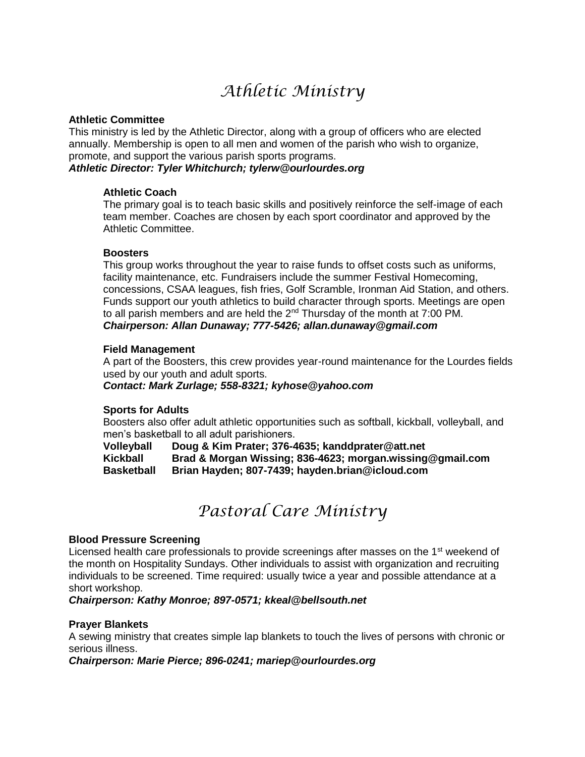# *Athletic Ministry*

# **Athletic Committee**

This ministry is led by the Athletic Director, along with a group of officers who are elected annually. Membership is open to all men and women of the parish who wish to organize, promote, and support the various parish sports programs.

# *Athletic Director: Tyler Whitchurch; tylerw@ourlourdes.org*

# **Athletic Coach**

The primary goal is to teach basic skills and positively reinforce the self-image of each team member. Coaches are chosen by each sport coordinator and approved by the Athletic Committee.

# **Boosters**

This group works throughout the year to raise funds to offset costs such as uniforms, facility maintenance, etc. Fundraisers include the summer Festival Homecoming, concessions, CSAA leagues, fish fries, Golf Scramble, Ironman Aid Station, and others. Funds support our youth athletics to build character through sports. Meetings are open to all parish members and are held the  $2<sup>nd</sup>$  Thursday of the month at 7:00 PM. *Chairperson: Allan Dunaway; 777-5426; [allan.dunaway@gmail.com](mailto:allan.dunaway@gmail.com)*

## **Field Management**

A part of the Boosters, this crew provides year-round maintenance for the Lourdes fields used by our youth and adult sports.

## *Contact: Mark Zurlage; 558-8321; [kyhose@yahoo.com](mailto:kyhose@yahoo.com)*

## **Sports for Adults**

Boosters also offer adult athletic opportunities such as softball, kickball, volleyball, and men's basketball to all adult parishioners.

**Volleyball Doug & Kim Prater; 376-4635; [kanddprater@att.net](mailto:kanddprater@att.net) Kickball Brad & Morgan Wissing; 836-4623; [morgan.wissing@gmail.com](mailto:morgan.wissing@gmail.com) Basketball Brian Hayden; 807-7439; [hayden.brian@icloud.com](mailto:hayden.brian@icloud.com)**

# *Pastoral Care Ministry*

## **Blood Pressure Screening**

Licensed health care professionals to provide screenings after masses on the  $1<sup>st</sup>$  weekend of the month on Hospitality Sundays. Other individuals to assist with organization and recruiting individuals to be screened. Time required: usually twice a year and possible attendance at a short workshop.

*Chairperson: Kathy Monroe; 897-0571; [kkeal@bellsouth.net](mailto:kkeal@bellsouth.net)*

## **Prayer Blankets**

A sewing ministry that creates simple lap blankets to touch the lives of persons with chronic or serious illness.

## *Chairperson: Marie Pierce; 896-0241; mariep@ourlourdes.org*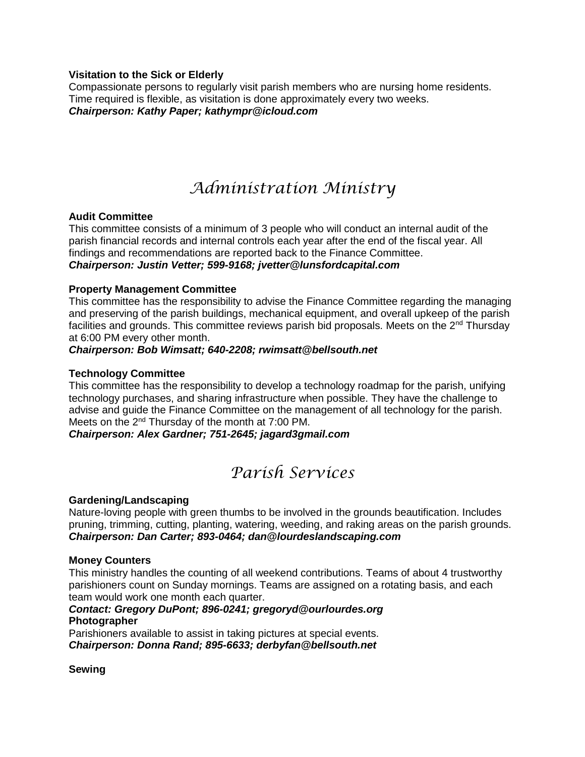# **Visitation to the Sick or Elderly**

Compassionate persons to regularly visit parish members who are nursing home residents. Time required is flexible, as visitation is done approximately every two weeks. *Chairperson: Kathy Paper; [kathympr@icloud.com](mailto:kathympr@icloud.com)*

# *Administration Ministry*

# **Audit Committee**

This committee consists of a minimum of 3 people who will conduct an internal audit of the parish financial records and internal controls each year after the end of the fiscal year. All findings and recommendations are reported back to the Finance Committee. *Chairperson: Justin Vetter; 599-9168; [jvetter@lunsfordcapital.com](mailto:jvetter@lunsfordcapital.com)*

# **Property Management Committee**

This committee has the responsibility to advise the Finance Committee regarding the managing and preserving of the parish buildings, mechanical equipment, and overall upkeep of the parish facilities and grounds. This committee reviews parish bid proposals. Meets on the  $2<sup>nd</sup>$  Thursday at 6:00 PM every other month.

# *Chairperson: Bob Wimsatt; 640-2208; [rwimsatt@bellsouth.net](mailto:rwimsatt@bellsouth.net)*

# **Technology Committee**

This committee has the responsibility to develop a technology roadmap for the parish, unifying technology purchases, and sharing infrastructure when possible. They have the challenge to advise and guide the Finance Committee on the management of all technology for the parish. Meets on the 2<sup>nd</sup> Thursday of the month at 7:00 PM.

*Chairperson: Alex Gardner; 751-2645; jagard3gmail.com*

# *Parish Services*

## **Gardening/Landscaping**

Nature-loving people with green thumbs to be involved in the grounds beautification. Includes pruning, trimming, cutting, planting, watering, weeding, and raking areas on the parish grounds. *Chairperson: Dan Carter; 893-0464; [dan@lourdeslandscaping.com](mailto:dan@lourdeslandscaping.com)*

## **Money Counters**

This ministry handles the counting of all weekend contributions. Teams of about 4 trustworthy parishioners count on Sunday mornings. Teams are assigned on a rotating basis, and each team would work one month each quarter.

# *Contact: Gregory DuPont; 896-0241; gregoryd@ourlourdes.org* **Photographer**

Parishioners available to assist in taking pictures at special events. *Chairperson: Donna Rand; 895-6633; [derbyfan@bellsouth.net](mailto:derbyfan@bellsouth.net)*

## **Sewing**